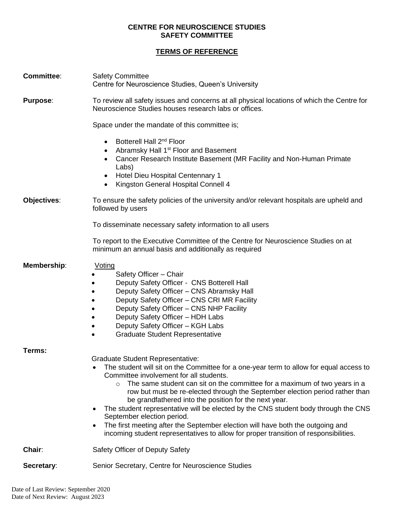## **CENTRE FOR NEUROSCIENCE STUDIES SAFETY COMMITTEE**

## **TERMS OF REFERENCE**

| <b>Committee:</b> | <b>Safety Committee</b><br>Centre for Neuroscience Studies, Queen's University                                                                                                                                                                                                                                                                                                                                                                                                                                                                                                                                                                                                                                                       |
|-------------------|--------------------------------------------------------------------------------------------------------------------------------------------------------------------------------------------------------------------------------------------------------------------------------------------------------------------------------------------------------------------------------------------------------------------------------------------------------------------------------------------------------------------------------------------------------------------------------------------------------------------------------------------------------------------------------------------------------------------------------------|
| <b>Purpose:</b>   | To review all safety issues and concerns at all physical locations of which the Centre for<br>Neuroscience Studies houses research labs or offices.                                                                                                                                                                                                                                                                                                                                                                                                                                                                                                                                                                                  |
|                   | Space under the mandate of this committee is;                                                                                                                                                                                                                                                                                                                                                                                                                                                                                                                                                                                                                                                                                        |
|                   | Botterell Hall 2 <sup>nd</sup> Floor<br>$\bullet$<br>Abramsky Hall 1 <sup>st</sup> Floor and Basement<br>Cancer Research Institute Basement (MR Facility and Non-Human Primate<br>Labs)<br>Hotel Dieu Hospital Centennary 1<br>$\bullet$<br>Kingston General Hospital Connell 4<br>$\bullet$                                                                                                                                                                                                                                                                                                                                                                                                                                         |
| Objectives:       | To ensure the safety policies of the university and/or relevant hospitals are upheld and<br>followed by users                                                                                                                                                                                                                                                                                                                                                                                                                                                                                                                                                                                                                        |
|                   | To disseminate necessary safety information to all users                                                                                                                                                                                                                                                                                                                                                                                                                                                                                                                                                                                                                                                                             |
|                   | To report to the Executive Committee of the Centre for Neuroscience Studies on at<br>minimum an annual basis and additionally as required                                                                                                                                                                                                                                                                                                                                                                                                                                                                                                                                                                                            |
| Membership:       | Voting<br>Safety Officer - Chair<br>Deputy Safety Officer - CNS Botterell Hall<br>Deputy Safety Officer - CNS Abramsky Hall<br>Deputy Safety Officer - CNS CRI MR Facility<br>Deputy Safety Officer - CNS NHP Facility<br>Deputy Safety Officer - HDH Labs<br>Deputy Safety Officer - KGH Labs<br><b>Graduate Student Representative</b>                                                                                                                                                                                                                                                                                                                                                                                             |
| Terms:            |                                                                                                                                                                                                                                                                                                                                                                                                                                                                                                                                                                                                                                                                                                                                      |
|                   | <b>Graduate Student Representative:</b><br>The student will sit on the Committee for a one-year term to allow for equal access to<br>$\bullet$<br>Committee involvement for all students.<br>The same student can sit on the committee for a maximum of two years in a<br>O<br>row but must be re-elected through the September election period rather than<br>be grandfathered into the position for the next year.<br>The student representative will be elected by the CNS student body through the CNS<br>٠<br>September election period.<br>The first meeting after the September election will have both the outgoing and<br>$\bullet$<br>incoming student representatives to allow for proper transition of responsibilities. |
| Chair:            | Safety Officer of Deputy Safety                                                                                                                                                                                                                                                                                                                                                                                                                                                                                                                                                                                                                                                                                                      |
| Secretary:        | Senior Secretary, Centre for Neuroscience Studies                                                                                                                                                                                                                                                                                                                                                                                                                                                                                                                                                                                                                                                                                    |